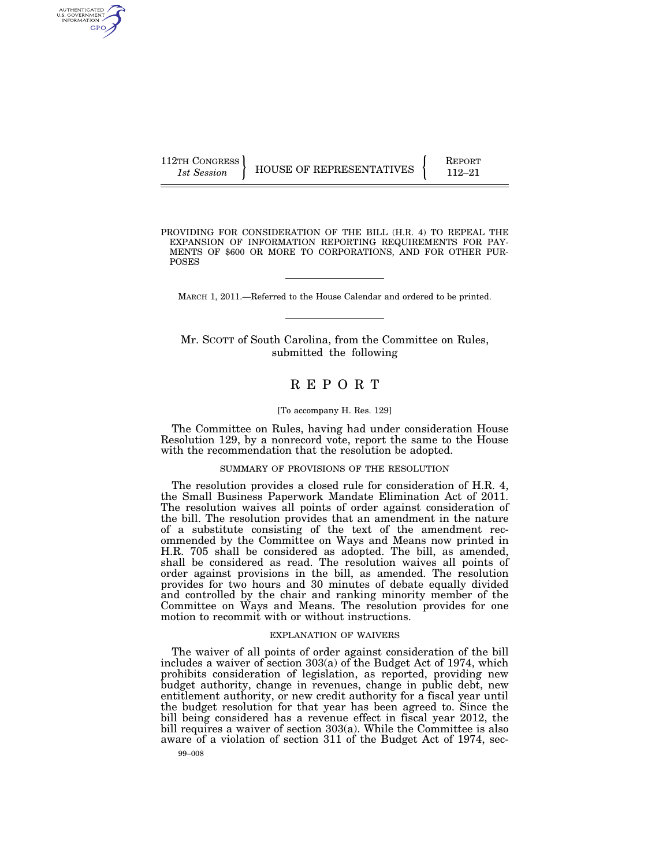| 112TH CONGRESS |                          | <b>REPORT</b> |
|----------------|--------------------------|---------------|
| 1st Session    | HOUSE OF REPRESENTATIVES | 119_91        |

PROVIDING FOR CONSIDERATION OF THE BILL (H.R. 4) TO REPEAL THE EXPANSION OF INFORMATION REPORTING REQUIREMENTS FOR PAY-MENTS OF \$600 OR MORE TO CORPORATIONS, AND FOR OTHER PUR-POSES

MARCH 1, 2011.—Referred to the House Calendar and ordered to be printed.

Mr. SCOTT of South Carolina, from the Committee on Rules, submitted the following

# R E P O R T

### [To accompany H. Res. 129]

The Committee on Rules, having had under consideration House Resolution 129, by a nonrecord vote, report the same to the House with the recommendation that the resolution be adopted.

## SUMMARY OF PROVISIONS OF THE RESOLUTION

The resolution provides a closed rule for consideration of H.R. 4, the Small Business Paperwork Mandate Elimination Act of 2011. The resolution waives all points of order against consideration of the bill. The resolution provides that an amendment in the nature of a substitute consisting of the text of the amendment recommended by the Committee on Ways and Means now printed in H.R. 705 shall be considered as adopted. The bill, as amended, shall be considered as read. The resolution waives all points of order against provisions in the bill, as amended. The resolution provides for two hours and 30 minutes of debate equally divided and controlled by the chair and ranking minority member of the Committee on Ways and Means. The resolution provides for one motion to recommit with or without instructions.

#### EXPLANATION OF WAIVERS

The waiver of all points of order against consideration of the bill includes a waiver of section 303(a) of the Budget Act of 1974, which prohibits consideration of legislation, as reported, providing new budget authority, change in revenues, change in public debt, new entitlement authority, or new credit authority for a fiscal year until the budget resolution for that year has been agreed to. Since the bill being considered has a revenue effect in fiscal year 2012, the bill requires a waiver of section 303(a). While the Committee is also aware of a violation of section 311 of the Budget Act of 1974, sec-

AUTHENTICATED<br>U.S. GOVERNMENT<br>INFORMATION GPO